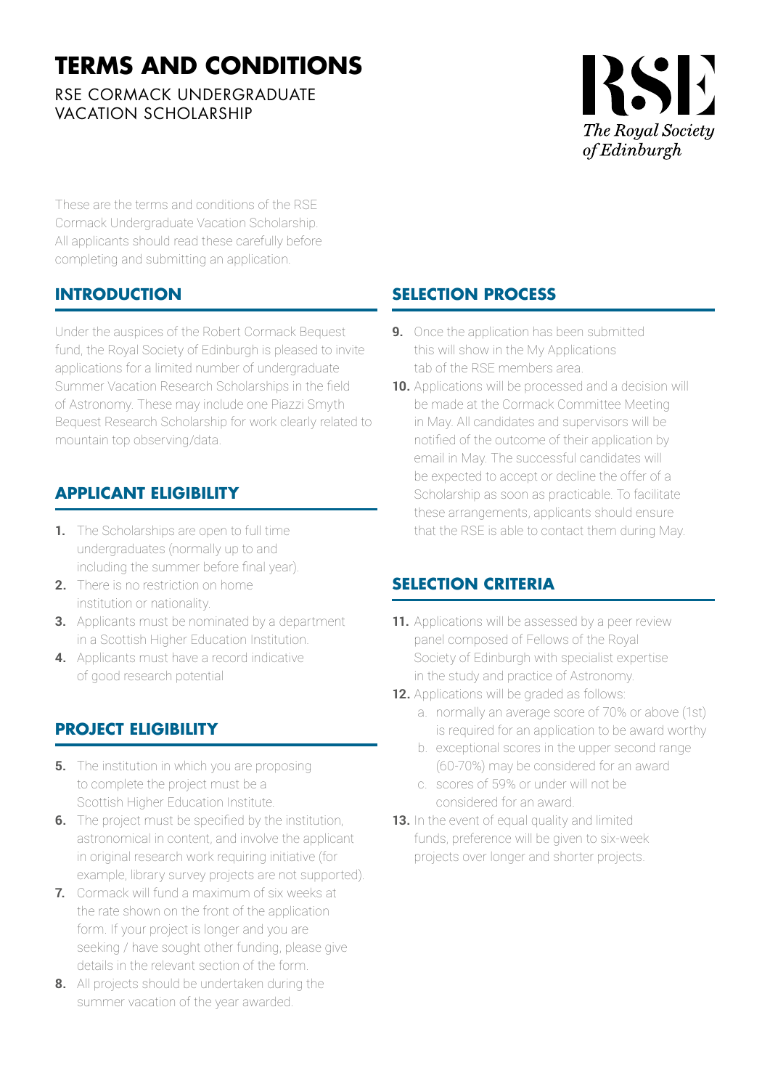# **TERMS AND CONDITIONS**

RSE CORMACK UNDERGRADUATE VACATION SCHOLARSHIP



These are the terms and conditions of the RSE Cormack Undergraduate Vacation Scholarship. All applicants should read these carefully before completing and submitting an application.

# **INTRODUCTION**

Under the auspices of the Robert Cormack Bequest fund, the Royal Society of Edinburgh is pleased to invite applications for a limited number of undergraduate Summer Vacation Research Scholarships in the field of Astronomy. These may include one Piazzi Smyth Bequest Research Scholarship for work clearly related to mountain top observing/data.

# **APPLICANT ELIGIBILITY**

- **1.** The Scholarships are open to full time undergraduates (normally up to and including the summer before final year).
- **2.** There is no restriction on home institution or nationality.
- **3.** Applicants must be nominated by a department in a Scottish Higher Education Institution.
- **4.** Applicants must have a record indicative of good research potential

# **PROJECT ELIGIBILITY**

- **5.** The institution in which you are proposing to complete the project must be a Scottish Higher Education Institute.
- **6.** The project must be specified by the institution, astronomical in content, and involve the applicant in original research work requiring initiative (for example, library survey projects are not supported).
- **7.** Cormack will fund a maximum of six weeks at the rate shown on the front of the application form. If your project is longer and you are seeking / have sought other funding, please give details in the relevant section of the form.
- **8.** All projects should be undertaken during the summer vacation of the year awarded.

# **SELECTION PROCESS**

- **9.** Once the application has been submitted this will show in the My Applications tab of the RSE members area.
- **10.** Applications will be processed and a decision will be made at the Cormack Committee Meeting in May. All candidates and supervisors will be notified of the outcome of their application by email in May. The successful candidates will be expected to accept or decline the offer of a Scholarship as soon as practicable. To facilitate these arrangements, applicants should ensure that the RSE is able to contact them during May.

# **SELECTION CRITERIA**

- **11.** Applications will be assessed by a peer review panel composed of Fellows of the Royal Society of Edinburgh with specialist expertise in the study and practice of Astronomy.
- **12.** Applications will be graded as follows:
	- a. normally an average score of 70% or above (1st) is required for an application to be award worthy
	- b. exceptional scores in the upper second range (60-70%) may be considered for an award
	- c. scores of 59% or under will not be considered for an award.
- **13.** In the event of equal quality and limited funds, preference will be given to six-week projects over longer and shorter projects.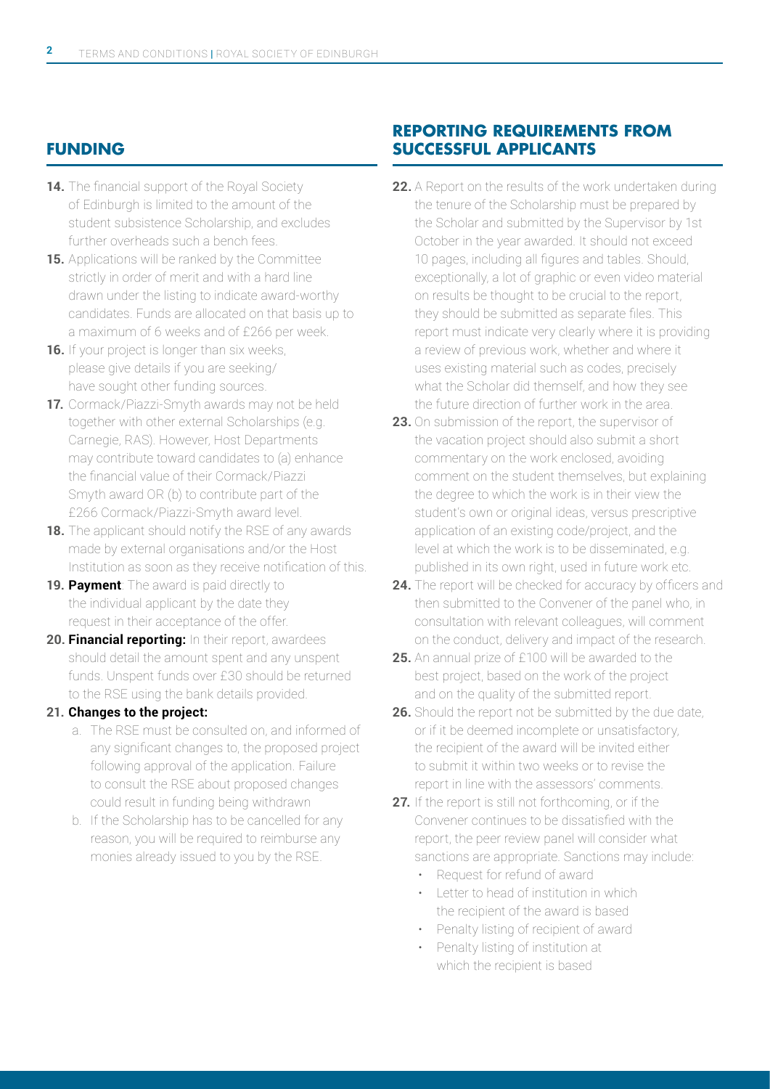### **FUNDING**

- 14. The financial support of the Royal Society of Edinburgh is limited to the amount of the student subsistence Scholarship, and excludes further overheads such a bench fees.
- **15.** Applications will be ranked by the Committee strictly in order of merit and with a hard line drawn under the listing to indicate award-worthy candidates. Funds are allocated on that basis up to a maximum of 6 weeks and of £266 per week.
- **16.** If your project is longer than six weeks, please give details if you are seeking/ have sought other funding sources.
- **17.** Cormack/Piazzi-Smyth awards may not be held together with other external Scholarships (e.g. Carnegie, RAS). However, Host Departments may contribute toward candidates to (a) enhance the financial value of their Cormack/Piazzi Smyth award OR (b) to contribute part of the £266 Cormack/Piazzi-Smyth award level.
- **18.** The applicant should notify the RSE of any awards made by external organisations and/or the Host Institution as soon as they receive notification of this.
- **19. Payment**: The award is paid directly to the individual applicant by the date they request in their acceptance of the offer.
- **20. Financial reporting:** In their report, awardees should detail the amount spent and any unspent funds. Unspent funds over £30 should be returned to the RSE using the bank details provided.

#### **21. Changes to the project:**

- a. The RSE must be consulted on, and informed of any significant changes to, the proposed project following approval of the application. Failure to consult the RSE about proposed changes could result in funding being withdrawn
- b. If the Scholarship has to be cancelled for any reason, you will be required to reimburse any monies already issued to you by the RSE.

### **REPORTING REQUIREMENTS FROM SUCCESSFUL APPLICANTS**

- **22.** A Report on the results of the work undertaken during the tenure of the Scholarship must be prepared by the Scholar and submitted by the Supervisor by 1st October in the year awarded. It should not exceed 10 pages, including all figures and tables. Should, exceptionally, a lot of graphic or even video material on results be thought to be crucial to the report, they should be submitted as separate files. This report must indicate very clearly where it is providing a review of previous work, whether and where it uses existing material such as codes, precisely what the Scholar did themself, and how they see the future direction of further work in the area.
- **23.** On submission of the report, the supervisor of the vacation project should also submit a short commentary on the work enclosed, avoiding comment on the student themselves, but explaining the degree to which the work is in their view the student's own or original ideas, versus prescriptive application of an existing code/project, and the level at which the work is to be disseminated, e.g. published in its own right, used in future work etc.
- **24.** The report will be checked for accuracy by officers and then submitted to the Convener of the panel who, in consultation with relevant colleagues, will comment on the conduct, delivery and impact of the research.
- **25.** An annual prize of £100 will be awarded to the best project, based on the work of the project and on the quality of the submitted report.
- **26.** Should the report not be submitted by the due date, or if it be deemed incomplete or unsatisfactory, the recipient of the award will be invited either to submit it within two weeks or to revise the report in line with the assessors' comments.
- **27.** If the report is still not forthcoming, or if the Convener continues to be dissatisfied with the report, the peer review panel will consider what sanctions are appropriate. Sanctions may include:
	- Request for refund of award
	- Letter to head of institution in which the recipient of the award is based
	- Penalty listing of recipient of award
	- Penalty listing of institution at which the recipient is based